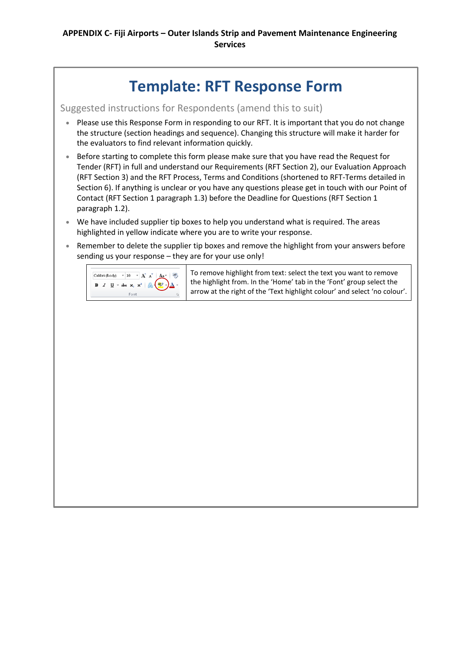### **Template: RFT Response Form**

Suggested instructions for Respondents (amend this to suit)

- Please use this Response Form in responding to our RFT. It is important that you do not change the structure (section headings and sequence). Changing this structure will make it harder for the evaluators to find relevant information quickly.
- Before starting to complete this form please make sure that you have read the Request for Tender (RFT) in full and understand our Requirements (RFT Section 2), our Evaluation Approach (RFT Section 3) and the RFT Process, Terms and Conditions (shortened to RFT-Terms detailed in Section 6). If anything is unclear or you have any questions please get in touch with our Point of Contact (RFT Section 1 paragraph 1.3) before the Deadline for Questions (RFT Section 1 paragraph 1.2).
- We have included supplier tip boxes to help you understand what is required. The areas highlighted in yellow indicate where you are to write your response.
- Remember to delete the supplier tip boxes and remove the highlight from your answers before sending us your response – they are for your use only!



To remove highlight from text: select the text you want to remove the highlight from. In the 'Home' tab in the 'Font' group select the arrow at the right of the 'Text highlight colour' and select 'no colour'.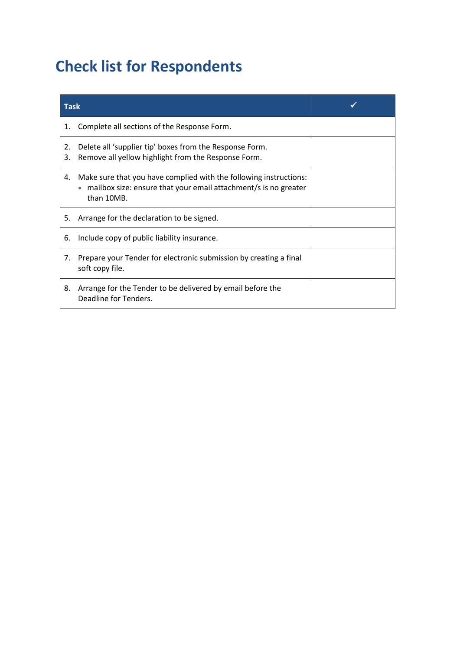### **Check list for Respondents**

| <b>Task</b> |                                                                                                                                                    |  |  |  |  |  |  |
|-------------|----------------------------------------------------------------------------------------------------------------------------------------------------|--|--|--|--|--|--|
| 1.          | Complete all sections of the Response Form.                                                                                                        |  |  |  |  |  |  |
| 2.<br>3.    | Delete all 'supplier tip' boxes from the Response Form.<br>Remove all yellow highlight from the Response Form.                                     |  |  |  |  |  |  |
| 4.          | Make sure that you have complied with the following instructions:<br>mailbox size: ensure that your email attachment/s is no greater<br>than 10MB. |  |  |  |  |  |  |
| 5.          | Arrange for the declaration to be signed.                                                                                                          |  |  |  |  |  |  |
| 6.          | Include copy of public liability insurance.                                                                                                        |  |  |  |  |  |  |
| 7.          | Prepare your Tender for electronic submission by creating a final<br>soft copy file.                                                               |  |  |  |  |  |  |
| 8.          | Arrange for the Tender to be delivered by email before the<br>Deadline for Tenders.                                                                |  |  |  |  |  |  |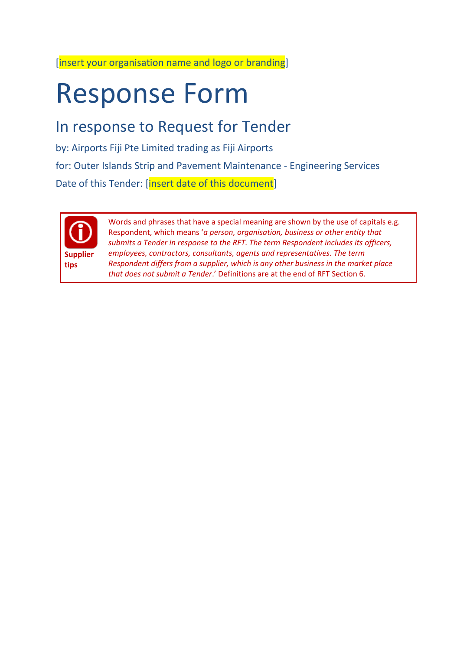[insert your organisation name and logo or branding]

# Response Form

### In response to Request for Tender

by: Airports Fiji Pte Limited trading as Fiji Airports for: Outer Islands Strip and Pavement Maintenance - Engineering Services Date of this Tender: [insert date of this document]



Words and phrases that have a special meaning are shown by the use of capitals e.g. Respondent, which means '*a person, organisation, business or other entity that submits a Tender in response to the RFT. The term Respondent includes its officers, employees, contractors, consultants, agents and representatives. The term Respondent differs from a supplier, which is any other business in the market place that does not submit a Tender*.' Definitions are at the end of RFT Section 6.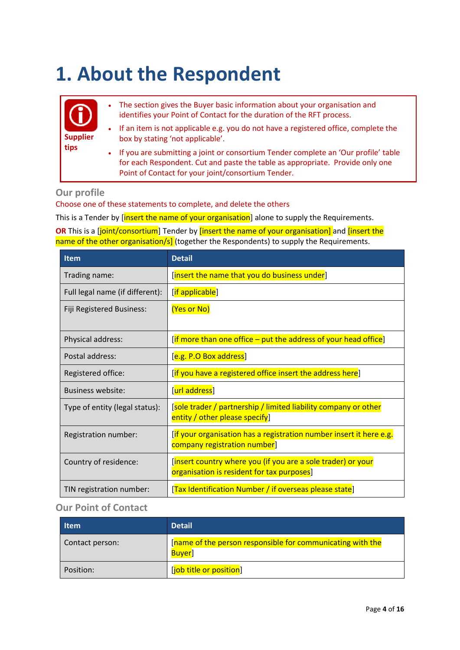# **1. About the Respondent**

| (i)             | $\bullet$ | The section gives the Buyer basic information about your organisation and<br>identifies your Point of Contact for the duration of the RFT process.                    |
|-----------------|-----------|-----------------------------------------------------------------------------------------------------------------------------------------------------------------------|
| <b>Supplier</b> |           | • If an item is not applicable e.g. you do not have a registered office, complete the<br>box by stating 'not applicable'.                                             |
| tips            |           | • If you are submitting a joint or consortium Tender complete an 'Our profile' table<br>for each Respondent. Cut and paste the table as appropriate. Provide only one |

#### **Our profile**

Choose one of these statements to complete, and delete the others

This is a Tender by [insert the name of your organisation] alone to supply the Requirements.

Point of Contact for your joint/consortium Tender.

**OR** This is a [joint/consortium] Tender by [insert the name of your organisation] and [insert the name of the other organisation/s] (together the Respondents) to supply the Requirements.

| Item                            | <b>Detail</b>                                                                                              |
|---------------------------------|------------------------------------------------------------------------------------------------------------|
| Trading name:                   | [insert the name that you do business under]                                                               |
| Full legal name (if different): | [if applicable]                                                                                            |
| Fiji Registered Business:       | (Yes or No)                                                                                                |
| Physical address:               | [if more than one office – put the address of your head office]                                            |
| Postal address:                 | [e.g. P.O Box address]                                                                                     |
| Registered office:              | [if you have a registered office insert the address here]                                                  |
| Business website:               | [url address]                                                                                              |
| Type of entity (legal status):  | [sole trader / partnership / limited liability company or other<br>entity / other please specify]          |
| Registration number:            | [if your organisation has a registration number insert it here e.g.<br>company registration number]        |
| Country of residence:           | [insert country where you (if you are a sole trader) or your<br>organisation is resident for tax purposes] |
| TIN registration number:        | [Tax Identification Number / if overseas please state]                                                     |

#### **Our Point of Contact**

| <b>Item</b>     | <b>Detail</b>                                                              |
|-----------------|----------------------------------------------------------------------------|
| Contact person: | [name of the person responsible for communicating with the<br><b>Buyer</b> |
| Position:       | [job title or position]                                                    |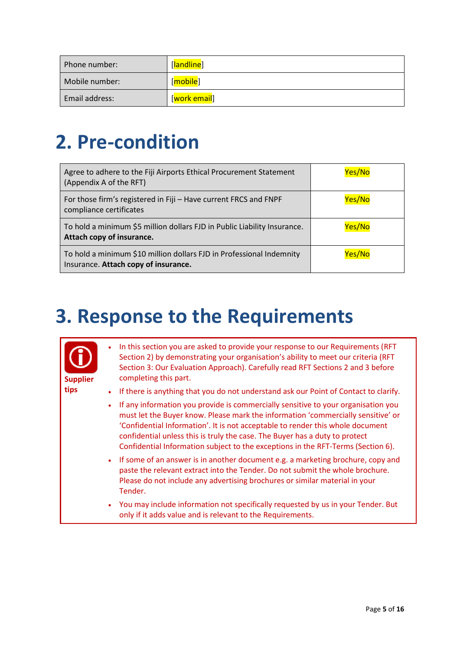| Phone number:  | [ <mark>landline</mark> ]   |
|----------------|-----------------------------|
| Mobile number: | [ <mark>mobile</mark> ]     |
| Email address: | [ <mark>work email</mark> ] |

## **2. Pre-condition**

| Agree to adhere to the Fiji Airports Ethical Procurement Statement<br>(Appendix A of the RFT)                | Yes/No |
|--------------------------------------------------------------------------------------------------------------|--------|
| For those firm's registered in Fiji - Have current FRCS and FNPF<br>compliance certificates                  | Yes/No |
| To hold a minimum \$5 million dollars FJD in Public Liability Insurance.<br>Attach copy of insurance.        | Yes/No |
| To hold a minimum \$10 million dollars FJD in Professional Indemnity<br>Insurance. Attach copy of insurance. | Yes/No |

## **3. Response to the Requirements**

| <b>Supplier</b> | $\bullet$ | In this section you are asked to provide your response to our Requirements (RFT)<br>Section 2) by demonstrating your organisation's ability to meet our criteria (RFT<br>Section 3: Our Evaluation Approach). Carefully read RFT Sections 2 and 3 before<br>completing this part.                                                                                                                                          |
|-----------------|-----------|----------------------------------------------------------------------------------------------------------------------------------------------------------------------------------------------------------------------------------------------------------------------------------------------------------------------------------------------------------------------------------------------------------------------------|
| tips            | $\bullet$ | If there is anything that you do not understand ask our Point of Contact to clarify.                                                                                                                                                                                                                                                                                                                                       |
|                 | $\bullet$ | If any information you provide is commercially sensitive to your organisation you<br>must let the Buyer know. Please mark the information 'commercially sensitive' or<br>'Confidential Information'. It is not acceptable to render this whole document<br>confidential unless this is truly the case. The Buyer has a duty to protect<br>Confidential Information subject to the exceptions in the RFT-Terms (Section 6). |
|                 | $\bullet$ | If some of an answer is in another document e.g. a marketing brochure, copy and<br>paste the relevant extract into the Tender. Do not submit the whole brochure.<br>Please do not include any advertising brochures or similar material in your<br>Tender.                                                                                                                                                                 |
|                 | $\bullet$ | You may include information not specifically requested by us in your Tender. But<br>only if it adds value and is relevant to the Requirements.                                                                                                                                                                                                                                                                             |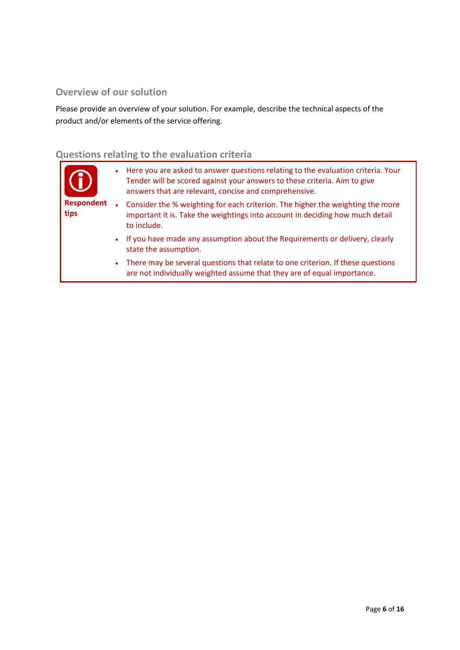#### **Overview of our solution**

Please provide an overview of your solution. For example, describe the technical aspects of the product and/or elements of the service offering.

### **Questions relating to the evaluation criteria**

| $\bullet$ | Here you are asked to answer questions relating to the evaluation criteria. Your<br>Tender will be scored against your answers to these criteria. Aim to give<br>answers that are relevant, concise and comprehensive. |
|-----------|------------------------------------------------------------------------------------------------------------------------------------------------------------------------------------------------------------------------|
|           | Consider the % weighting for each criterion. The higher the weighting the more<br>important it is. Take the weightings into account in deciding how much detail<br>to include.                                         |
|           | If you have made any assumption about the Requirements or delivery, clearly<br>state the assumption.                                                                                                                   |
| $\bullet$ | There may be several questions that relate to one criterion. If these questions<br>are not individually weighted assume that they are of equal importance.                                                             |
|           |                                                                                                                                                                                                                        |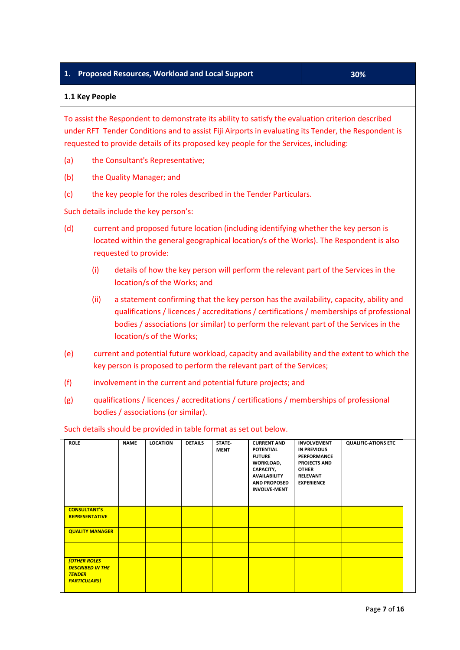#### **1. Proposed Resources, Workload and Local Support 30%**

#### **1.1 Key People**

To assist the Respondent to demonstrate its ability to satisfy the evaluation criterion described under RFT Tender Conditions and to assist Fiji Airports in evaluating its Tender, the Respondent is requested to provide details of its proposed key people for the Services, including:

- (a) the Consultant's Representative;
- (b) the Quality Manager; and
- (c) the key people for the roles described in the Tender Particulars.

Such details include the key person's:

- (d) current and proposed future location (including identifying whether the key person is located within the general geographical location/s of the Works). The Respondent is also requested to provide:
	- (i) details of how the key person will perform the relevant part of the Services in the location/s of the Works; and
	- (ii) a statement confirming that the key person has the availability, capacity, ability and qualifications / licences / accreditations / certifications / memberships of professional bodies / associations (or similar) to perform the relevant part of the Services in the location/s of the Works;
- (e) current and potential future workload, capacity and availability and the extent to which the key person is proposed to perform the relevant part of the Services;
- (f) involvement in the current and potential future projects; and
- (g) qualifications / licences / accreditations / certifications / memberships of professional bodies / associations (or similar).

Such details should be provided in table format as set out below.

| <b>ROLE</b>                                                                           | <b>NAME</b> | <b>LOCATION</b> | <b>DETAILS</b> | STATE-<br><b>MENT</b> | <b>CURRENT AND</b><br><b>POTENTIAL</b><br><b>FUTURE</b><br>WORKLOAD,<br>CAPACITY,<br><b>AVAILABILITY</b><br><b>AND PROPOSED</b><br><b>INVOLVE-MENT</b> | <b>INVOLVEMENT</b><br>IN PREVIOUS<br>PERFORMANCE<br><b>PROJECTS AND</b><br><b>OTHER</b><br><b>RELEVANT</b><br><b>EXPERIENCE</b> | <b>QUALIFIC-ATIONS ETC</b> |
|---------------------------------------------------------------------------------------|-------------|-----------------|----------------|-----------------------|--------------------------------------------------------------------------------------------------------------------------------------------------------|---------------------------------------------------------------------------------------------------------------------------------|----------------------------|
| <b>CONSULTANT'S</b><br><b>REPRESENTATIVE</b>                                          |             |                 |                |                       |                                                                                                                                                        |                                                                                                                                 |                            |
| <b>QUALITY MANAGER</b>                                                                |             |                 |                |                       |                                                                                                                                                        |                                                                                                                                 |                            |
|                                                                                       |             |                 |                |                       |                                                                                                                                                        |                                                                                                                                 |                            |
| <b>[OTHER ROLES</b><br><b>DESCRIBED IN THE</b><br><b>TENDER</b><br><b>PARTICULARS</b> |             |                 |                |                       |                                                                                                                                                        |                                                                                                                                 |                            |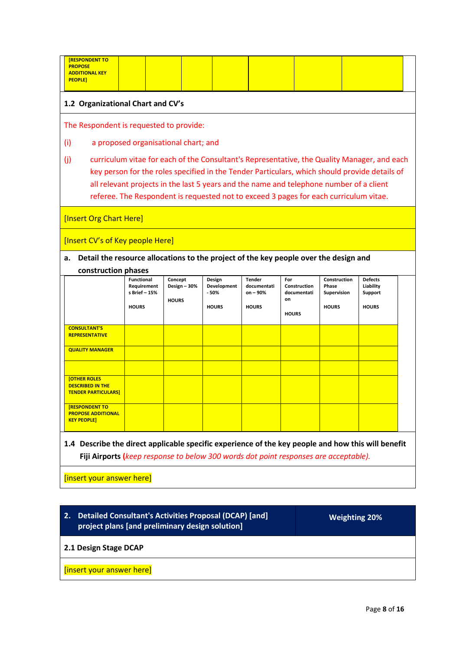| <b>[RESPONDENT TO</b><br><b>PROPOSE</b><br><b>ADDITIONAL KEY</b><br><b>PEOPLE]</b>                                                                                                                                                                                                                                                                                                      |                                                                   |                                         |                                                 |                                                            |                                                          |                                                             |                                                        |  |
|-----------------------------------------------------------------------------------------------------------------------------------------------------------------------------------------------------------------------------------------------------------------------------------------------------------------------------------------------------------------------------------------|-------------------------------------------------------------------|-----------------------------------------|-------------------------------------------------|------------------------------------------------------------|----------------------------------------------------------|-------------------------------------------------------------|--------------------------------------------------------|--|
| 1.2 Organizational Chart and CV's                                                                                                                                                                                                                                                                                                                                                       |                                                                   |                                         |                                                 |                                                            |                                                          |                                                             |                                                        |  |
| The Respondent is requested to provide:                                                                                                                                                                                                                                                                                                                                                 |                                                                   |                                         |                                                 |                                                            |                                                          |                                                             |                                                        |  |
| (i)                                                                                                                                                                                                                                                                                                                                                                                     | a proposed organisational chart; and                              |                                         |                                                 |                                                            |                                                          |                                                             |                                                        |  |
| curriculum vitae for each of the Consultant's Representative, the Quality Manager, and each<br>(i)<br>key person for the roles specified in the Tender Particulars, which should provide details of<br>all relevant projects in the last 5 years and the name and telephone number of a client<br>referee. The Respondent is requested not to exceed 3 pages for each curriculum vitae. |                                                                   |                                         |                                                 |                                                            |                                                          |                                                             |                                                        |  |
| [Insert Org Chart Here]                                                                                                                                                                                                                                                                                                                                                                 |                                                                   |                                         |                                                 |                                                            |                                                          |                                                             |                                                        |  |
| [Insert CV's of Key people Here]                                                                                                                                                                                                                                                                                                                                                        |                                                                   |                                         |                                                 |                                                            |                                                          |                                                             |                                                        |  |
| Detail the resource allocations to the project of the key people over the design and<br>a.<br>construction phases                                                                                                                                                                                                                                                                       |                                                                   |                                         |                                                 |                                                            |                                                          |                                                             |                                                        |  |
|                                                                                                                                                                                                                                                                                                                                                                                         | <b>Functional</b><br>Requirement<br>s Brief - 15%<br><b>HOURS</b> | Concept<br>Design - 30%<br><b>HOURS</b> | Design<br>Development<br>$-50%$<br><b>HOURS</b> | <b>Tender</b><br>documentati<br>$on - 90%$<br><b>HOURS</b> | For<br>Construction<br>documentati<br>on<br><b>HOURS</b> | Construction<br>Phase<br><b>Supervision</b><br><b>HOURS</b> | <b>Defects</b><br>Liability<br>Support<br><b>HOURS</b> |  |
| <b>CONSULTANT'S</b><br><b>REPRESENTATIVE</b>                                                                                                                                                                                                                                                                                                                                            |                                                                   |                                         |                                                 |                                                            |                                                          |                                                             |                                                        |  |
| <b>QUALITY MANAGER</b>                                                                                                                                                                                                                                                                                                                                                                  |                                                                   |                                         |                                                 |                                                            |                                                          |                                                             |                                                        |  |
| <b>[OTHER ROLES</b>                                                                                                                                                                                                                                                                                                                                                                     |                                                                   |                                         |                                                 |                                                            |                                                          |                                                             |                                                        |  |
| <b>DESCRIBED IN THE</b><br><b>TENDER PARTICULARS]</b>                                                                                                                                                                                                                                                                                                                                   |                                                                   |                                         |                                                 |                                                            |                                                          |                                                             |                                                        |  |
| <b>IRESPONDENT TO</b><br><b>PROPOSE ADDITIONAL</b><br><b>KEY PEOPLE]</b>                                                                                                                                                                                                                                                                                                                |                                                                   |                                         |                                                 |                                                            |                                                          |                                                             |                                                        |  |

**1.4 Describe the direct applicable specific experience of the key people and how this will benefit Fiji Airports (***keep response to below 300 words dot point responses are acceptable).*

[insert your answer here]

**2. Detailed Consultant's Activities Proposal (DCAP) [and] project plans [and preliminary design solution]** 

**Weighting 20%**

**2.1 Design Stage DCAP**

[insert your answer here]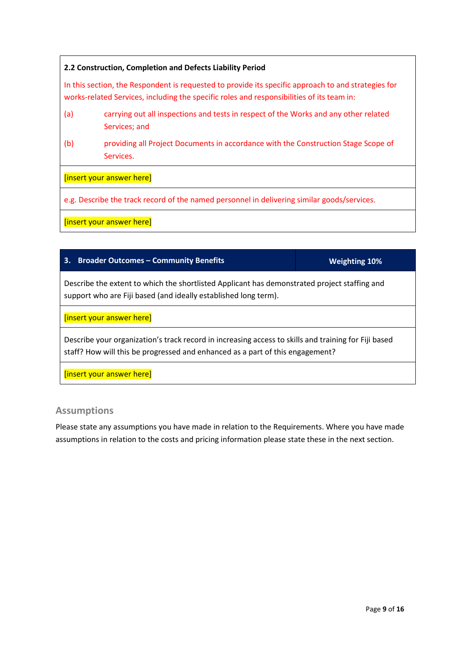#### **2.2 Construction, Completion and Defects Liability Period**

In this section, the Respondent is requested to provide its specific approach to and strategies for works-related Services, including the specific roles and responsibilities of its team in:

- (a) carrying out all inspections and tests in respect of the Works and any other related Services; and
- (b) providing all Project Documents in accordance with the Construction Stage Scope of Services.

#### [insert your answer here]

e.g. Describe the track record of the named personnel in delivering similar goods/services.

[insert your answer here]

#### **3. Broader Outcomes – Community Benefits Weighting 10%**

Describe the extent to which the shortlisted Applicant has demonstrated project staffing and support who are Fiji based (and ideally established long term).

[insert your answer here]

Describe your organization's track record in increasing access to skills and training for Fiji based staff? How will this be progressed and enhanced as a part of this engagement?

[insert your answer here]

#### **Assumptions**

Please state any assumptions you have made in relation to the Requirements. Where you have made assumptions in relation to the costs and pricing information please state these in the next section.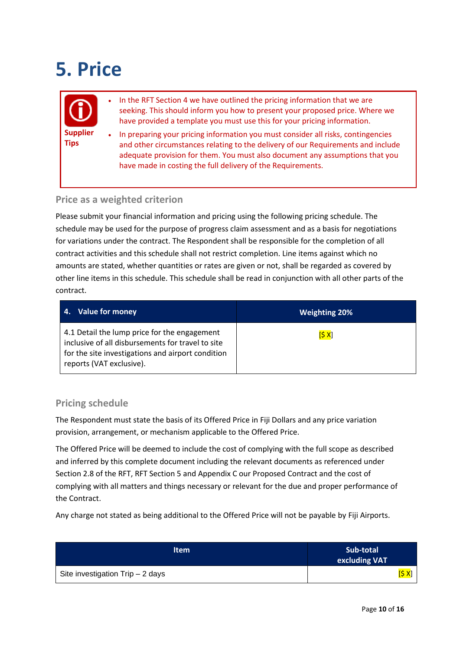# **5. Price**



- In the RFT Section 4 we have outlined the pricing information that we are seeking. This should inform you how to present your proposed price. Where we have provided a template you must use this for your pricing information.
- In preparing your pricing information you must consider all risks, contingencies and other circumstances relating to the delivery of our Requirements and include adequate provision for them. You must also document any assumptions that you have made in costing the full delivery of the Requirements.

#### **Price as a weighted criterion**

Please submit your financial information and pricing using the following pricing schedule. The schedule may be used for the purpose of progress claim assessment and as a basis for negotiations for variations under the contract. The Respondent shall be responsible for the completion of all contract activities and this schedule shall not restrict completion. Line items against which no amounts are stated, whether quantities or rates are given or not, shall be regarded as covered by other line items in this schedule. This schedule shall be read in conjunction with all other parts of the contract.

| <b>Value for money</b><br>4.                                                                                                                                                       | <b>Weighting 20%</b> |
|------------------------------------------------------------------------------------------------------------------------------------------------------------------------------------|----------------------|
| 4.1 Detail the lump price for the engagement<br>inclusive of all disbursements for travel to site<br>for the site investigations and airport condition<br>reports (VAT exclusive). | [5 X]                |

#### **Pricing schedule**

The Respondent must state the basis of its Offered Price in Fiji Dollars and any price variation provision, arrangement, or mechanism applicable to the Offered Price.

The Offered Price will be deemed to include the cost of complying with the full scope as described and inferred by this complete document including the relevant documents as referenced under Section 2.8 of the RFT, RFT Section 5 and Appendix C our Proposed Contract and the cost of complying with all matters and things necessary or relevant for the due and proper performance of the Contract.

Any charge not stated as being additional to the Offered Price will not be payable by Fiji Airports.

| <b>Item</b>                      | Sub-total<br>excluding VAT |
|----------------------------------|----------------------------|
| Site investigation Trip - 2 days | [\$ X]                     |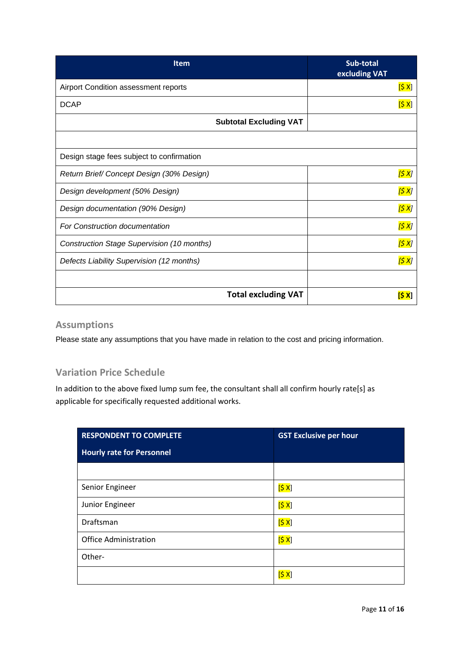| <b>Item</b>                                       | Sub-total<br>excluding VAT |
|---------------------------------------------------|----------------------------|
| Airport Condition assessment reports              | [5 X]                      |
| <b>DCAP</b>                                       | [5 X]                      |
| <b>Subtotal Excluding VAT</b>                     |                            |
|                                                   |                            |
| Design stage fees subject to confirmation         |                            |
| Return Brief/Concept Design (30% Design)          | [\$ X]                     |
| Design development (50% Design)                   | <mark>[\$ X</mark> ]       |
| Design documentation (90% Design)                 | [\$ X]                     |
| <b>For Construction documentation</b>             | [\$ X]                     |
| <b>Construction Stage Supervision (10 months)</b> | <mark>[\$ X</mark> ]       |
| Defects Liability Supervision (12 months)         | [\$ X]                     |
|                                                   |                            |
| <b>Total excluding VAT</b>                        | IS X                       |

#### **Assumptions**

Please state any assumptions that you have made in relation to the cost and pricing information.

#### **Variation Price Schedule**

In addition to the above fixed lump sum fee, the consultant shall all confirm hourly rate[s] as applicable for specifically requested additional works.

| <b>RESPONDENT TO COMPLETE</b>    | <b>GST Exclusive per hour</b> |  |
|----------------------------------|-------------------------------|--|
| <b>Hourly rate for Personnel</b> |                               |  |
|                                  |                               |  |
| Senior Engineer                  | [5 X]                         |  |
| Junior Engineer                  | [5 X]                         |  |
| Draftsman                        | [5x]                          |  |
| <b>Office Administration</b>     | [5 X]                         |  |
| Other-                           |                               |  |
|                                  |                               |  |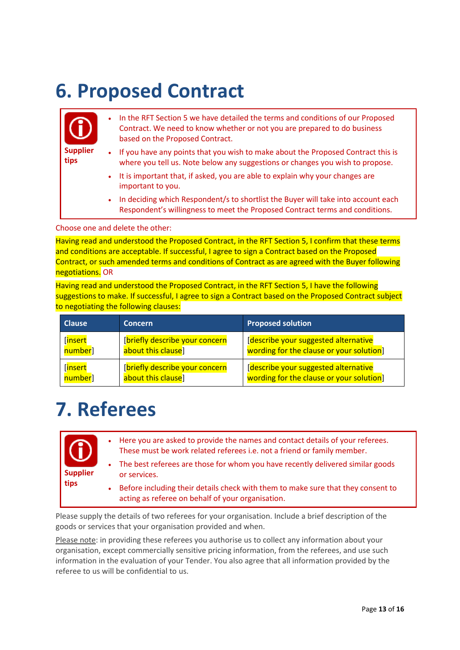### **6. Proposed Contract**



Choose one and delete the other:

Having read and understood the Proposed Contract, in the RFT Section 5, I confirm that these terms and conditions are acceptable. If successful, I agree to sign a Contract based on the Proposed Contract, or such amended terms and conditions of Contract as are agreed with the Buyer following negotiations. OR

Having read and understood the Proposed Contract, in the RFT Section 5, I have the following suggestions to make. If successful, I agree to sign a Contract based on the Proposed Contract subject to negotiating the following clauses:

| <b>Clause</b> | <b>Concern</b>                 | <b>Proposed solution</b>                 |
|---------------|--------------------------------|------------------------------------------|
| [insert       | [briefly describe your concern | [describe your suggested alternative     |
| number]       | about this clause]             | wording for the clause or your solution] |
| [insert       | [briefly describe your concern | [describe your suggested alternative     |
| number]       | about this clause]             | wording for the clause or your solution] |

## **7. Referees**

| (i)<br><b>Supplier</b><br>tips |             | • Here you are asked to provide the names and contact details of your referees.<br>These must be work related referees i.e. not a friend or family member. |
|--------------------------------|-------------|------------------------------------------------------------------------------------------------------------------------------------------------------------|
|                                | $\bullet$ . | The best referees are those for whom you have recently delivered similar goods<br>or services.                                                             |
|                                | $\bullet$ . | Before including their details check with them to make sure that they consent to<br>acting as referee on behalf of your organisation.                      |

Please supply the details of two referees for your organisation. Include a brief description of the goods or services that your organisation provided and when.

Please note: in providing these referees you authorise us to collect any information about your organisation, except commercially sensitive pricing information, from the referees, and use such information in the evaluation of your Tender. You also agree that all information provided by the referee to us will be confidential to us.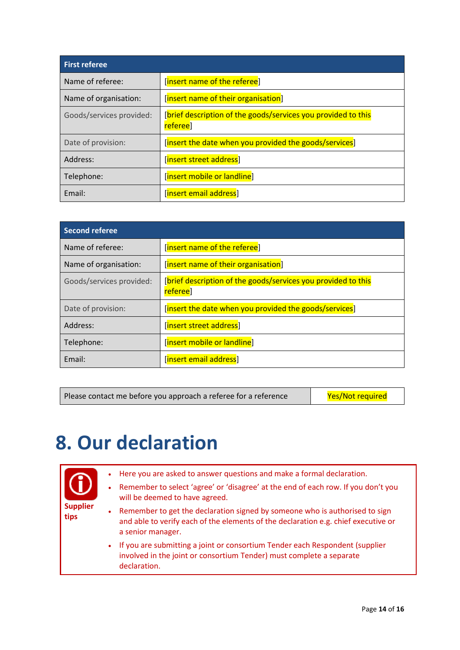| <b>First referee</b>     |                                                                           |
|--------------------------|---------------------------------------------------------------------------|
| Name of referee:         | [insert name of the referee]                                              |
| Name of organisation:    | [insert name of their organisation]                                       |
| Goods/services provided: | [brief description of the goods/services you provided to this<br>referee] |
| Date of provision:       | [insert the date when you provided the goods/services]                    |
| Address:                 | [insert street address]                                                   |
| Telephone:               | [insert mobile or landline]                                               |
| Email:                   | [insert email address]                                                    |

| Second referee           |                                                                                       |
|--------------------------|---------------------------------------------------------------------------------------|
| Name of referee:         | [insert name of the referee]                                                          |
| Name of organisation:    | [insert name of their organisation]                                                   |
| Goods/services provided: | [brief description of the goods/services you provided to this<br>referee <sup>1</sup> |
| Date of provision:       | [insert the date when you provided the goods/services]                                |
| Address:                 | [insert street address]                                                               |
| Telephone:               | [insert mobile or landline]                                                           |
| Email:                   | [insert email address]                                                                |

Please contact me before you approach a referee for a reference Yes/Not required

## **8. Our declaration**



- Here you are asked to answer questions and make a formal declaration.
- Remember to select 'agree' or 'disagree' at the end of each row. If you don't you will be deemed to have agreed.
- Remember to get the declaration signed by someone who is authorised to sign and able to verify each of the elements of the declaration e.g. chief executive or a senior manager.
- If you are submitting a joint or consortium Tender each Respondent (supplier involved in the joint or consortium Tender) must complete a separate declaration.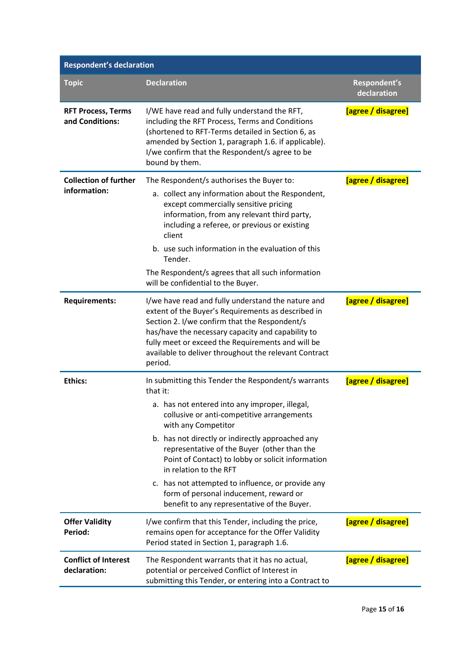| <b>Respondent's declaration</b>              |                                                                                                                                                                                                                                                                                                                                                                                                                                                                                                                        |                             |
|----------------------------------------------|------------------------------------------------------------------------------------------------------------------------------------------------------------------------------------------------------------------------------------------------------------------------------------------------------------------------------------------------------------------------------------------------------------------------------------------------------------------------------------------------------------------------|-----------------------------|
| <b>Topic</b>                                 | <b>Declaration</b>                                                                                                                                                                                                                                                                                                                                                                                                                                                                                                     | Respondent's<br>declaration |
| <b>RFT Process, Terms</b><br>and Conditions: | I/WE have read and fully understand the RFT,<br>including the RFT Process, Terms and Conditions<br>(shortened to RFT-Terms detailed in Section 6, as<br>amended by Section 1, paragraph 1.6. if applicable).<br>I/we confirm that the Respondent/s agree to be<br>bound by them.                                                                                                                                                                                                                                       | [agree / disagree]          |
| <b>Collection of further</b><br>information: | The Respondent/s authorises the Buyer to:<br>a. collect any information about the Respondent,<br>except commercially sensitive pricing<br>information, from any relevant third party,<br>including a referee, or previous or existing<br>client<br>b. use such information in the evaluation of this<br>Tender.<br>The Respondent/s agrees that all such information<br>will be confidential to the Buyer.                                                                                                             | [agree / disagree]          |
| <b>Requirements:</b>                         | I/we have read and fully understand the nature and<br>extent of the Buyer's Requirements as described in<br>Section 2. I/we confirm that the Respondent/s<br>has/have the necessary capacity and capability to<br>fully meet or exceed the Requirements and will be<br>available to deliver throughout the relevant Contract<br>period.                                                                                                                                                                                | [agree / disagree]          |
| <b>Ethics:</b>                               | In submitting this Tender the Respondent/s warrants<br>that it:<br>a. has not entered into any improper, illegal,<br>collusive or anti-competitive arrangements<br>with any Competitor<br>b. has not directly or indirectly approached any<br>representative of the Buyer (other than the<br>Point of Contact) to lobby or solicit information<br>in relation to the RFT<br>c. has not attempted to influence, or provide any<br>form of personal inducement, reward or<br>benefit to any representative of the Buyer. | [agree / disagree]          |
| <b>Offer Validity</b><br>Period:             | I/we confirm that this Tender, including the price,<br>remains open for acceptance for the Offer Validity<br>Period stated in Section 1, paragraph 1.6.                                                                                                                                                                                                                                                                                                                                                                | [agree / disagree]          |
| <b>Conflict of Interest</b><br>declaration:  | The Respondent warrants that it has no actual,<br>potential or perceived Conflict of Interest in<br>submitting this Tender, or entering into a Contract to                                                                                                                                                                                                                                                                                                                                                             | [agree / disagree]          |